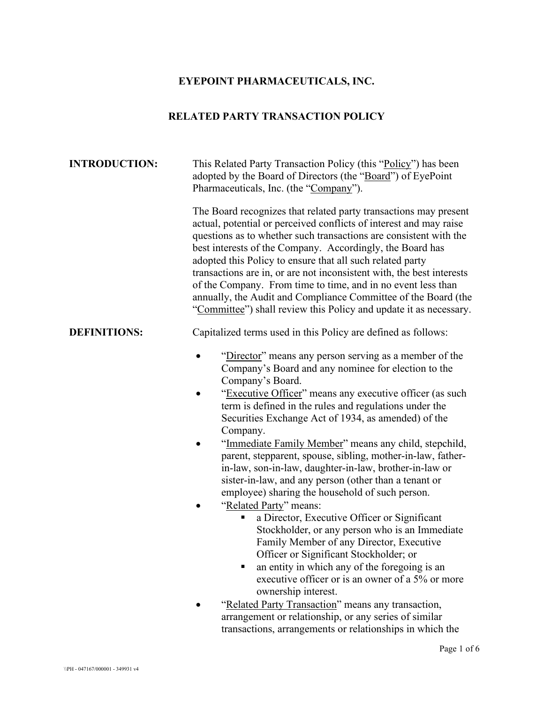# **EYEPOINT PHARMACEUTICALS, INC.**

# **RELATED PARTY TRANSACTION POLICY**

| <b>INTRODUCTION:</b> | This Related Party Transaction Policy (this "Policy") has been<br>adopted by the Board of Directors (the "Board") of EyePoint<br>Pharmaceuticals, Inc. (the "Company").                                                                                                                                                                                                                                                                                                                                                                                                                                                                                                                                                                                                                                                                                                                                                                                                                                                                                                                                                                                        |
|----------------------|----------------------------------------------------------------------------------------------------------------------------------------------------------------------------------------------------------------------------------------------------------------------------------------------------------------------------------------------------------------------------------------------------------------------------------------------------------------------------------------------------------------------------------------------------------------------------------------------------------------------------------------------------------------------------------------------------------------------------------------------------------------------------------------------------------------------------------------------------------------------------------------------------------------------------------------------------------------------------------------------------------------------------------------------------------------------------------------------------------------------------------------------------------------|
|                      | The Board recognizes that related party transactions may present<br>actual, potential or perceived conflicts of interest and may raise<br>questions as to whether such transactions are consistent with the<br>best interests of the Company. Accordingly, the Board has<br>adopted this Policy to ensure that all such related party<br>transactions are in, or are not inconsistent with, the best interests<br>of the Company. From time to time, and in no event less than<br>annually, the Audit and Compliance Committee of the Board (the<br>"Committee") shall review this Policy and update it as necessary.                                                                                                                                                                                                                                                                                                                                                                                                                                                                                                                                          |
| <b>DEFINITIONS:</b>  | Capitalized terms used in this Policy are defined as follows:                                                                                                                                                                                                                                                                                                                                                                                                                                                                                                                                                                                                                                                                                                                                                                                                                                                                                                                                                                                                                                                                                                  |
|                      | "Director" means any person serving as a member of the<br>Company's Board and any nominee for election to the<br>Company's Board.<br>"Executive Officer" means any executive officer (as such<br>$\bullet$<br>term is defined in the rules and regulations under the<br>Securities Exchange Act of 1934, as amended) of the<br>Company.<br>"Immediate Family Member" means any child, stepchild,<br>parent, stepparent, spouse, sibling, mother-in-law, father-<br>in-law, son-in-law, daughter-in-law, brother-in-law or<br>sister-in-law, and any person (other than a tenant or<br>employee) sharing the household of such person.<br>"Related Party" means:<br>a Director, Executive Officer or Significant<br>Stockholder, or any person who is an Immediate<br>Family Member of any Director, Executive<br>Officer or Significant Stockholder; or<br>an entity in which any of the foregoing is an<br>executive officer or is an owner of a 5% or more<br>ownership interest.<br>"Related Party Transaction" means any transaction,<br>arrangement or relationship, or any series of similar<br>transactions, arrangements or relationships in which the |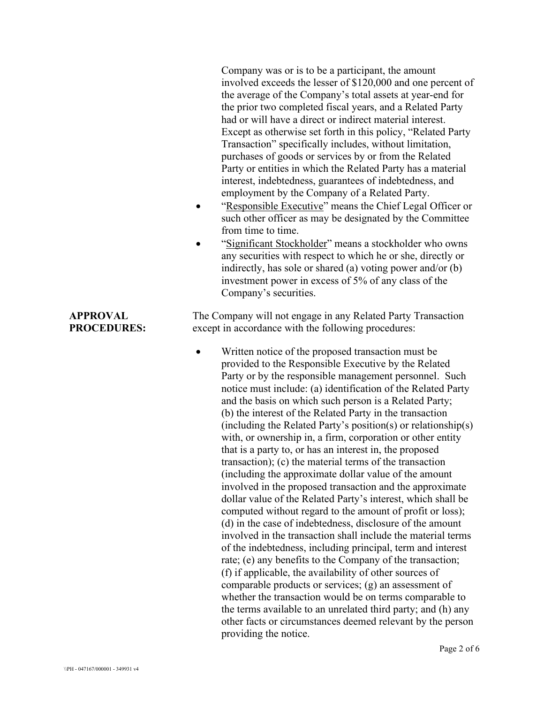Company was or is to be a participant, the amount involved exceeds the lesser of \$120,000 and one percent of the average of the Company's total assets at year-end for the prior two completed fiscal years, and a Related Party had or will have a direct or indirect material interest. Except as otherwise set forth in this policy, "Related Party Transaction" specifically includes, without limitation, purchases of goods or services by or from the Related Party or entities in which the Related Party has a material interest, indebtedness, guarantees of indebtedness, and employment by the Company of a Related Party.

- "Responsible Executive" means the Chief Legal Officer or such other officer as may be designated by the Committee from time to time.
- "Significant Stockholder" means a stockholder who owns any securities with respect to which he or she, directly or indirectly, has sole or shared (a) voting power and/or (b) investment power in excess of 5% of any class of the Company's securities.

The Company will not engage in any Related Party Transaction except in accordance with the following procedures:

Written notice of the proposed transaction must be provided to the Responsible Executive by the Related Party or by the responsible management personnel. Such notice must include: (a) identification of the Related Party and the basis on which such person is a Related Party; (b) the interest of the Related Party in the transaction (including the Related Party's position(s) or relationship(s) with, or ownership in, a firm, corporation or other entity that is a party to, or has an interest in, the proposed transaction); (c) the material terms of the transaction (including the approximate dollar value of the amount involved in the proposed transaction and the approximate dollar value of the Related Party's interest, which shall be computed without regard to the amount of profit or loss); (d) in the case of indebtedness, disclosure of the amount involved in the transaction shall include the material terms of the indebtedness, including principal, term and interest rate; (e) any benefits to the Company of the transaction; (f) if applicable, the availability of other sources of comparable products or services; (g) an assessment of whether the transaction would be on terms comparable to the terms available to an unrelated third party; and (h) any other facts or circumstances deemed relevant by the person providing the notice.

### **APPROVAL PROCEDURES:**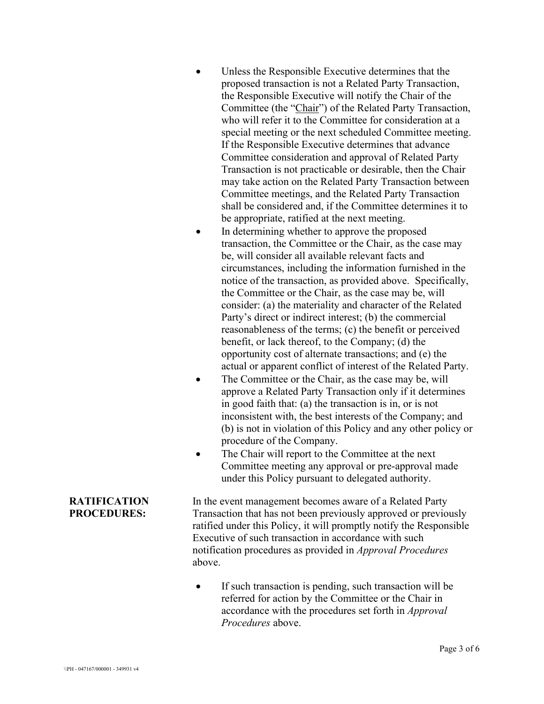- Unless the Responsible Executive determines that the proposed transaction is not a Related Party Transaction, the Responsible Executive will notify the Chair of the Committee (the "Chair") of the Related Party Transaction, who will refer it to the Committee for consideration at a special meeting or the next scheduled Committee meeting. If the Responsible Executive determines that advance Committee consideration and approval of Related Party Transaction is not practicable or desirable, then the Chair may take action on the Related Party Transaction between Committee meetings, and the Related Party Transaction shall be considered and, if the Committee determines it to be appropriate, ratified at the next meeting.
- In determining whether to approve the proposed transaction, the Committee or the Chair, as the case may be, will consider all available relevant facts and circumstances, including the information furnished in the notice of the transaction, as provided above. Specifically, the Committee or the Chair, as the case may be, will consider: (a) the materiality and character of the Related Party's direct or indirect interest; (b) the commercial reasonableness of the terms; (c) the benefit or perceived benefit, or lack thereof, to the Company; (d) the opportunity cost of alternate transactions; and (e) the actual or apparent conflict of interest of the Related Party.
- The Committee or the Chair, as the case may be, will approve a Related Party Transaction only if it determines in good faith that: (a) the transaction is in, or is not inconsistent with, the best interests of the Company; and (b) is not in violation of this Policy and any other policy or procedure of the Company.
- The Chair will report to the Committee at the next Committee meeting any approval or pre-approval made under this Policy pursuant to delegated authority.

In the event management becomes aware of a Related Party Transaction that has not been previously approved or previously ratified under this Policy, it will promptly notify the Responsible Executive of such transaction in accordance with such notification procedures as provided in *Approval Procedures* above.

If such transaction is pending, such transaction will be referred for action by the Committee or the Chair in accordance with the procedures set forth in *Approval Procedures* above.

#### **RATIFICATION PROCEDURES:**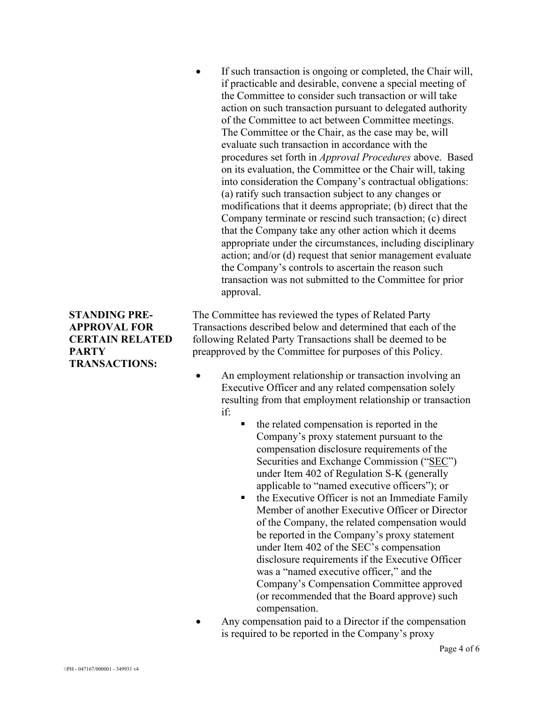If such transaction is ongoing or completed, the Chair will, if practicable and desirable, convene a special meeting of the Committee to consider such transaction or will take action on such transaction pursuant to delegated authority of the Committee to act between Committee meetings. The Committee or the Chair, as the case may be, will evaluate such transaction in accordance with the procedures set forth in *Approval Procedures* above. Based on its evaluation, the Committee or the Chair will, taking into consideration the Company's contractual obligations: (a) ratify such transaction subject to any changes or modifications that it deems appropriate; (b) direct that the Company terminate or rescind such transaction; (c) direct that the Company take any other action which it deems appropriate under the circumstances, including disciplinary action; and/or (d) request that senior management evaluate the Company's controls to ascertain the reason such transaction was not submitted to the Committee for prior approval.

The Committee has reviewed the types of Related Party Transactions described below and determined that each of the following Related Party Transactions shall be deemed to be preapproved by the Committee for purposes of this Policy.

- An employment relationship or transaction involving an Executive Officer and any related compensation solely resulting from that employment relationship or transaction if:
	- $\blacksquare$  the related compensation is reported in the Company's proxy statement pursuant to the compensation disclosure requirements of the Securities and Exchange Commission ("SEC") under Item 402 of Regulation S-K (generally applicable to "named executive officers"); or
	- the Executive Officer is not an Immediate Family Member of another Executive Officer or Director of the Company, the related compensation would be reported in the Company's proxy statement under Item 402 of the SEC's compensation disclosure requirements if the Executive Officer was a "named executive officer," and the Company's Compensation Committee approved (or recommended that the Board approve) such compensation.
- Any compensation paid to a Director if the compensation is required to be reported in the Company's proxy

### **STANDING PRE-APPROVAL FOR CERTAIN RELATED PARTY TRANSACTIONS:**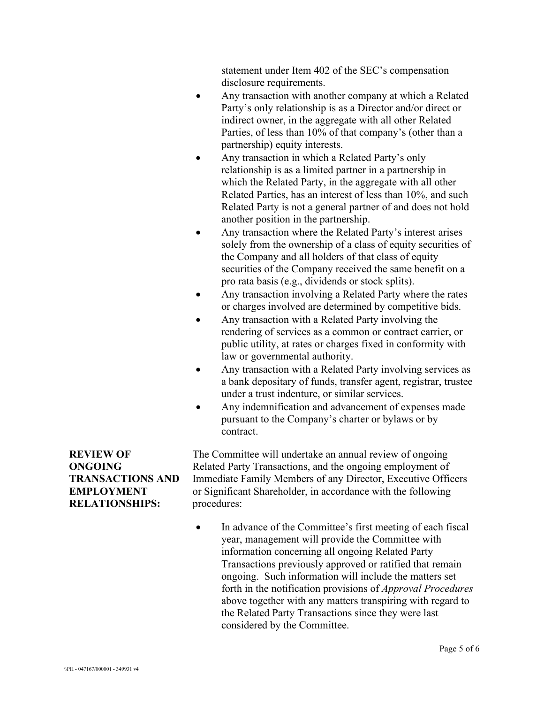statement under Item 402 of the SEC's compensation disclosure requirements.

- Any transaction with another company at which a Related Party's only relationship is as a Director and/or direct or indirect owner, in the aggregate with all other Related Parties, of less than 10% of that company's (other than a partnership) equity interests.
- Any transaction in which a Related Party's only relationship is as a limited partner in a partnership in which the Related Party, in the aggregate with all other Related Parties, has an interest of less than 10%, and such Related Party is not a general partner of and does not hold another position in the partnership.
- Any transaction where the Related Party's interest arises solely from the ownership of a class of equity securities of the Company and all holders of that class of equity securities of the Company received the same benefit on a pro rata basis (e.g., dividends or stock splits).
- Any transaction involving a Related Party where the rates or charges involved are determined by competitive bids.
- Any transaction with a Related Party involving the rendering of services as a common or contract carrier, or public utility, at rates or charges fixed in conformity with law or governmental authority.
- Any transaction with a Related Party involving services as a bank depositary of funds, transfer agent, registrar, trustee under a trust indenture, or similar services.
- Any indemnification and advancement of expenses made pursuant to the Company's charter or bylaws or by contract.

**REVIEW OF ONGOING TRANSACTIONS AND EMPLOYMENT RELATIONSHIPS:**

The Committee will undertake an annual review of ongoing Related Party Transactions, and the ongoing employment of Immediate Family Members of any Director, Executive Officers or Significant Shareholder, in accordance with the following procedures:

• In advance of the Committee's first meeting of each fiscal year, management will provide the Committee with information concerning all ongoing Related Party Transactions previously approved or ratified that remain ongoing. Such information will include the matters set forth in the notification provisions of *Approval Procedures* above together with any matters transpiring with regard to the Related Party Transactions since they were last considered by the Committee.